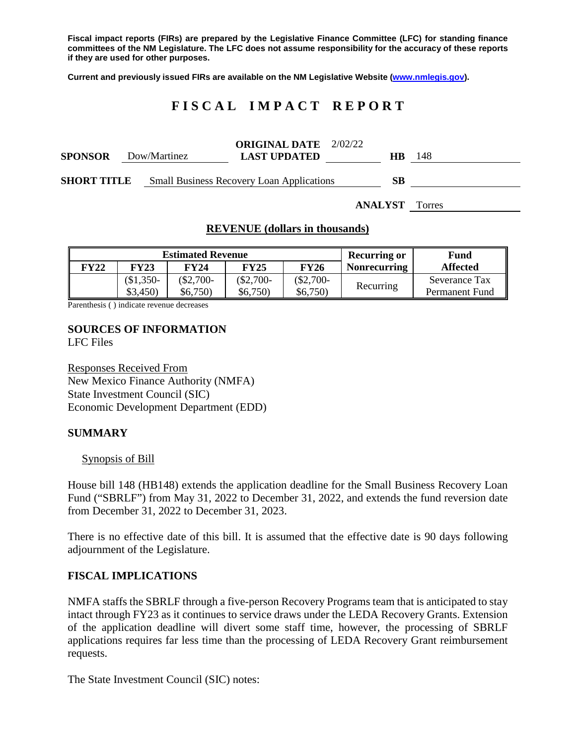**Fiscal impact reports (FIRs) are prepared by the Legislative Finance Committee (LFC) for standing finance committees of the NM Legislature. The LFC does not assume responsibility for the accuracy of these reports if they are used for other purposes.**

**Current and previously issued FIRs are available on the NM Legislative Website [\(www.nmlegis.gov\)](http://www.nmlegis.gov/).**

# **F I S C A L I M P A C T R E P O R T**

| <b>SPONSOR</b>     | Dow/Martinez | <b>ORIGINAL DATE</b> 2/02/22<br><b>LAST UPDATED</b> | <b>HB</b>      | 148    |
|--------------------|--------------|-----------------------------------------------------|----------------|--------|
| <b>SHORT TITLE</b> |              | <b>Small Business Recovery Loan Applications</b>    | SВ             |        |
|                    |              |                                                     | <b>ANALYST</b> | Torres |

#### **REVENUE (dollars in thousands)**

| <b>Estimated Revenue</b> |             |           |             |             | <b>Recurring or</b> | Fund            |
|--------------------------|-------------|-----------|-------------|-------------|---------------------|-----------------|
| FY22                     | <b>FY23</b> | FY24      | <b>FY25</b> | <b>FY26</b> | <b>Nonrecurring</b> | <b>Affected</b> |
|                          | $$1,350-$   | $$2,700-$ | $$2,700-$   | $$2,700-$   | Recurring           | Severance Tax   |
|                          | \$3,450)    | \$6,750   | \$6,750     | \$6,750     |                     | Permanent Fund  |

Parenthesis ( ) indicate revenue decreases

#### **SOURCES OF INFORMATION** LFC Files

Responses Received From New Mexico Finance Authority (NMFA) State Investment Council (SIC) Economic Development Department (EDD)

## **SUMMARY**

#### Synopsis of Bill

House bill 148 (HB148) extends the application deadline for the Small Business Recovery Loan Fund ("SBRLF") from May 31, 2022 to December 31, 2022, and extends the fund reversion date from December 31, 2022 to December 31, 2023.

There is no effective date of this bill. It is assumed that the effective date is 90 days following adjournment of the Legislature.

## **FISCAL IMPLICATIONS**

NMFA staffs the SBRLF through a five-person Recovery Programs team that is anticipated to stay intact through FY23 as it continues to service draws under the LEDA Recovery Grants. Extension of the application deadline will divert some staff time, however, the processing of SBRLF applications requires far less time than the processing of LEDA Recovery Grant reimbursement requests.

The State Investment Council (SIC) notes: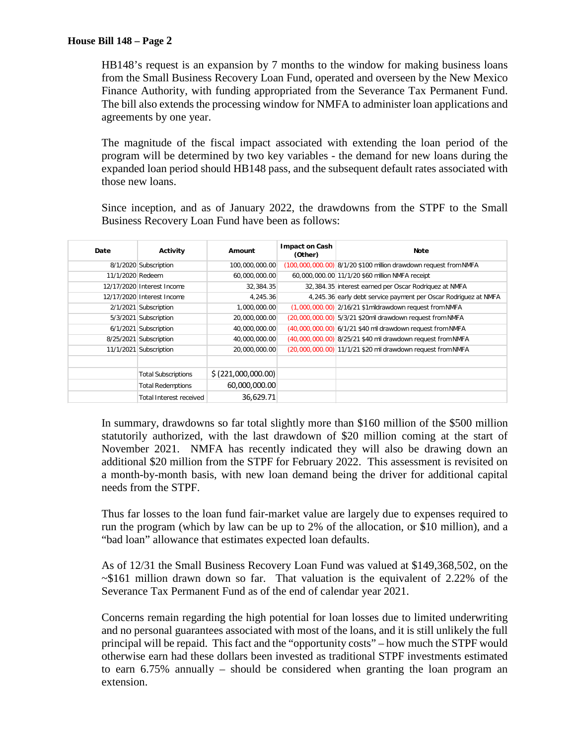HB148's request is an expansion by 7 months to the window for making business loans from the Small Business Recovery Loan Fund, operated and overseen by the New Mexico Finance Authority, with funding appropriated from the Severance Tax Permanent Fund. The bill also extends the processing window for NMFA to administer loan applications and agreements by one year.

The magnitude of the fiscal impact associated with extending the loan period of the program will be determined by two key variables - the demand for new loans during the expanded loan period should HB148 pass, and the subsequent default rates associated with those new loans.

Since inception, and as of January 2022, the drawdowns from the STPF to the Small Business Recovery Loan Fund have been as follows:

| Date             | Activity                       | Amount              | <b>Impact on Cash</b><br>(Other) | Note                                                             |
|------------------|--------------------------------|---------------------|----------------------------------|------------------------------------------------------------------|
|                  | 8/1/2020 Subscription          | 100,000,000.00      |                                  | (100,000,000.00) 8/1/20 \$100 million drawdown request from NMFA |
| 11/1/2020 Redeem |                                | 60,000,000.00       |                                  | 60,000,000.00 11/1/20 \$60 million NMFA receipt                  |
|                  | 12/17/2020 Interest Income     | 32.384.35           |                                  | 32,384.35 interest earned per Oscar Rodriquez at NMFA            |
|                  | 12/17/2020 Interest Income     | 4.245.36            |                                  | 4,245.36 early debt service payment per Oscar Rodriguez at NMFA  |
|                  | 2/1/2021 Subscription          | 1,000,000.00        |                                  | (1,000,000.00) 2/16/21 \$1mildrawdown request from NMFA          |
|                  | 5/3/2021 Subscription          | 20,000,000.00       |                                  | (20,000,000.00) 5/3/21 \$20mil drawdown request from NMFA        |
|                  | 6/1/2021 Subscription          | 40,000,000.00       |                                  | (40,000,000.00) 6/1/21 \$40 mil drawdown request from NMFA       |
|                  | 8/25/2021 Subscription         | 40,000,000,00       |                                  | (40,000,000.00) 8/25/21 \$40 mil drawdown request from NMFA      |
|                  | 11/1/2021 Subscription         | 20,000,000.00       |                                  | (20,000,000.00) 11/1/21 \$20 mil drawdown request from NMFA      |
|                  |                                |                     |                                  |                                                                  |
|                  | <b>Total Subscriptions</b>     | \$ (221,000,000.00) |                                  |                                                                  |
|                  | <b>Total Redemptions</b>       | 60,000,000.00       |                                  |                                                                  |
|                  | <b>Total Interest received</b> | 36,629.71           |                                  |                                                                  |

In summary, drawdowns so far total slightly more than \$160 million of the \$500 million statutorily authorized, with the last drawdown of \$20 million coming at the start of November 2021. NMFA has recently indicated they will also be drawing down an additional \$20 million from the STPF for February 2022. This assessment is revisited on a month-by-month basis, with new loan demand being the driver for additional capital needs from the STPF.

Thus far losses to the loan fund fair-market value are largely due to expenses required to run the program (which by law can be up to 2% of the allocation, or \$10 million), and a "bad loan" allowance that estimates expected loan defaults.

As of 12/31 the Small Business Recovery Loan Fund was valued at \$149,368,502, on the ~\$161 million drawn down so far. That valuation is the equivalent of 2.22% of the Severance Tax Permanent Fund as of the end of calendar year 2021.

Concerns remain regarding the high potential for loan losses due to limited underwriting and no personal guarantees associated with most of the loans, and it is still unlikely the full principal will be repaid. This fact and the "opportunity costs" – how much the STPF would otherwise earn had these dollars been invested as traditional STPF investments estimated to earn 6.75% annually – should be considered when granting the loan program an extension.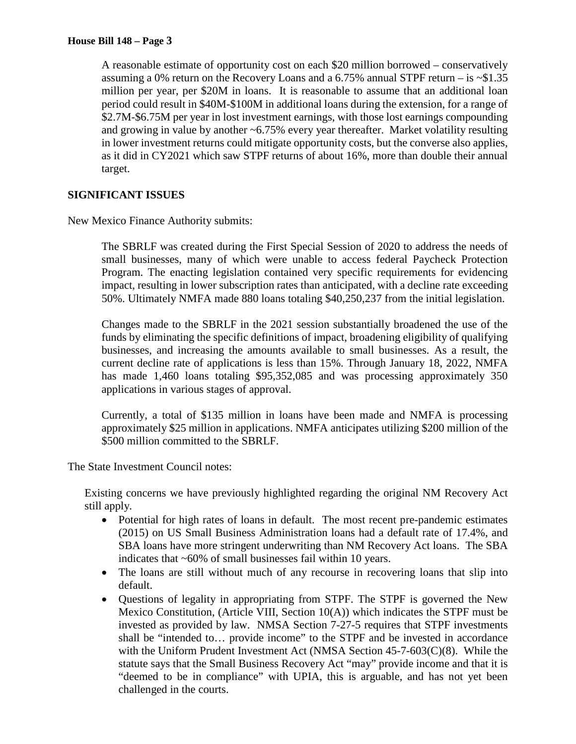A reasonable estimate of opportunity cost on each \$20 million borrowed – conservatively assuming a 0% return on the Recovery Loans and a  $6.75\%$  annual STPF return – is  $\sim$ \$1.35 million per year, per \$20M in loans. It is reasonable to assume that an additional loan period could result in \$40M-\$100M in additional loans during the extension, for a range of \$2.7M-\$6.75M per year in lost investment earnings, with those lost earnings compounding and growing in value by another  $\sim 6.75\%$  every year thereafter. Market volatility resulting in lower investment returns could mitigate opportunity costs, but the converse also applies, as it did in CY2021 which saw STPF returns of about 16%, more than double their annual target.

# **SIGNIFICANT ISSUES**

New Mexico Finance Authority submits:

The SBRLF was created during the First Special Session of 2020 to address the needs of small businesses, many of which were unable to access federal Paycheck Protection Program. The enacting legislation contained very specific requirements for evidencing impact, resulting in lower subscription rates than anticipated, with a decline rate exceeding 50%. Ultimately NMFA made 880 loans totaling \$40,250,237 from the initial legislation.

Changes made to the SBRLF in the 2021 session substantially broadened the use of the funds by eliminating the specific definitions of impact, broadening eligibility of qualifying businesses, and increasing the amounts available to small businesses. As a result, the current decline rate of applications is less than 15%. Through January 18, 2022, NMFA has made 1,460 loans totaling \$95,352,085 and was processing approximately 350 applications in various stages of approval.

Currently, a total of \$135 million in loans have been made and NMFA is processing approximately \$25 million in applications. NMFA anticipates utilizing \$200 million of the \$500 million committed to the SBRLF.

The State Investment Council notes:

Existing concerns we have previously highlighted regarding the original NM Recovery Act still apply.

- Potential for high rates of loans in default. The most recent pre-pandemic estimates (2015) on US Small Business Administration loans had a default rate of 17.4%, and SBA loans have more stringent underwriting than NM Recovery Act loans. The SBA indicates that ~60% of small businesses fail within 10 years.
- The loans are still without much of any recourse in recovering loans that slip into default.
- Questions of legality in appropriating from STPF. The STPF is governed the New Mexico Constitution, (Article VIII, Section 10(A)) which indicates the STPF must be invested as provided by law. NMSA Section 7-27-5 requires that STPF investments shall be "intended to… provide income" to the STPF and be invested in accordance with the Uniform Prudent Investment Act (NMSA Section 45-7-603(C)(8). While the statute says that the Small Business Recovery Act "may" provide income and that it is "deemed to be in compliance" with UPIA, this is arguable, and has not yet been challenged in the courts.